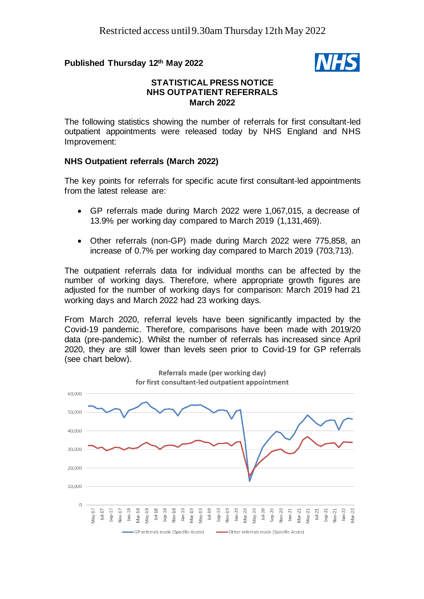# **Published Thursday 12th May 2022**



# **STATISTICAL PRESS NOTICE NHS OUTPATIENT REFERRALS March 2022**

The following statistics showing the number of referrals for first consultant-led outpatient appointments were released today by NHS England and NHS Improvement:

# **NHS Outpatient referrals (March 2022)**

The key points for referrals for specific acute first consultant-led appointments from the latest release are:

- GP referrals made during March 2022 were 1,067,015, a decrease of 13.9% per working day compared to March 2019 (1,131,469).
- Other referrals (non-GP) made during March 2022 were 775,858, an increase of 0.7% per working day compared to March 2019 (703,713).

The outpatient referrals data for individual months can be affected by the number of working days. Therefore, where appropriate growth figures are adjusted for the number of working days for comparison: March 2019 had 21 working days and March 2022 had 23 working days.

From March 2020, referral levels have been significantly impacted by the Covid-19 pandemic. Therefore, comparisons have been made with 2019/20 data (pre-pandemic). Whilst the number of referrals has increased since April 2020, they are still lower than levels seen prior to Covid-19 for GP referrals (see chart below).

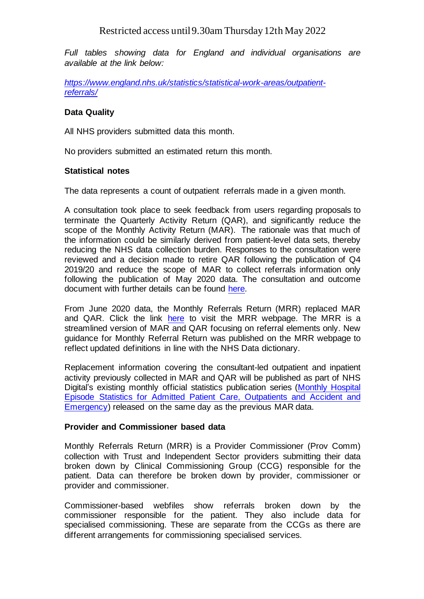# Restricted access until9.30am Thursday 12th May 2022

*Full tables showing data for England and individual organisations are available at the link below:*

*[https://www.england.nhs.uk/statistics/statistical-work-areas/outpatient](https://www.england.nhs.uk/statistics/statistical-work-areas/outpatient-referrals/)[referrals/](https://www.england.nhs.uk/statistics/statistical-work-areas/outpatient-referrals/)*

## **Data Quality**

All NHS providers submitted data this month.

No providers submitted an estimated return this month.

## **Statistical notes**

The data represents a count of outpatient referrals made in a given month.

A consultation took place to seek feedback from users regarding proposals to terminate the Quarterly Activity Return (QAR), and significantly reduce the scope of the Monthly Activity Return (MAR). The rationale was that much of the information could be similarly derived from patient-level data sets, thereby reducing the NHS data collection burden. Responses to the consultation were reviewed and a decision made to retire QAR following the publication of Q4 2019/20 and reduce the scope of MAR to collect referrals information only following the publication of May 2020 data. The consultation and outcome document with further details can be found [here.](https://www.engage.england.nhs.uk/survey/monthly-and-quarterly-statistics-return/)

From June 2020 data, the Monthly Referrals Return (MRR) replaced MAR and QAR. Click the link [here](https://www.england.nhs.uk/statistics/statistical-work-areas/outpatient-referrals/) to visit the MRR webpage. The MRR is a streamlined version of MAR and QAR focusing on referral elements only. New guidance for Monthly Referral Return was published on the MRR webpage to reflect updated definitions in line with the NHS Data dictionary.

Replacement information covering the consultant-led outpatient and inpatient activity previously collected in MAR and QAR will be published as part of NHS Digital's existing monthly official statistics publication series [\(Monthly Hospital](https://digital.nhs.uk/data-and-information/data-tools-and-services/data-services/hospital-episode-statistics)  Episode Statistics for Admitted [Patient Care, Outpatients](https://digital.nhs.uk/data-and-information/data-tools-and-services/data-services/hospital-episode-statistics) and Accident and [Emergency\)](https://digital.nhs.uk/data-and-information/data-tools-and-services/data-services/hospital-episode-statistics) released on the same day as the previous MAR data.

#### **Provider and Commissioner based data**

Monthly Referrals Return (MRR) is a Provider Commissioner (Prov Comm) collection with Trust and Independent Sector providers submitting their data broken down by Clinical Commissioning Group (CCG) responsible for the patient. Data can therefore be broken down by provider, commissioner or provider and commissioner.

Commissioner-based webfiles show referrals broken down by the commissioner responsible for the patient. They also include data for specialised commissioning. These are separate from the CCGs as there are different arrangements for commissioning specialised services.